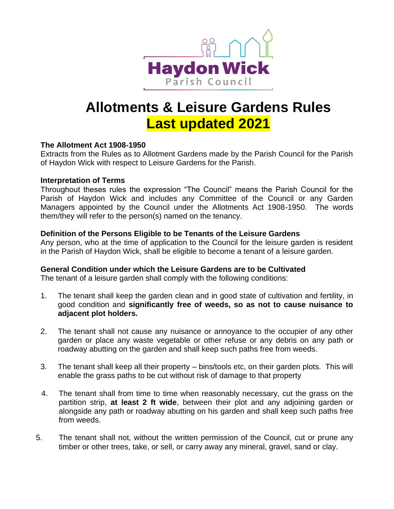

# **Allotments & Leisure Gardens Rules Last updated 2021**

# **The Allotment Act 1908-1950**

Extracts from the Rules as to Allotment Gardens made by the Parish Council for the Parish of Haydon Wick with respect to Leisure Gardens for the Parish.

## **Interpretation of Terms**

Throughout theses rules the expression "The Council" means the Parish Council for the Parish of Haydon Wick and includes any Committee of the Council or any Garden Managers appointed by the Council under the Allotments Act 1908-1950. The words them/they will refer to the person(s) named on the tenancy.

# **Definition of the Persons Eligible to be Tenants of the Leisure Gardens**

Any person, who at the time of application to the Council for the leisure garden is resident in the Parish of Haydon Wick, shall be eligible to become a tenant of a leisure garden.

# **General Condition under which the Leisure Gardens are to be Cultivated**

The tenant of a leisure garden shall comply with the following conditions:

- 1. The tenant shall keep the garden clean and in good state of cultivation and fertility, in good condition and **significantly free of weeds, so as not to cause nuisance to adjacent plot holders.**
- 2. The tenant shall not cause any nuisance or annoyance to the occupier of any other garden or place any waste vegetable or other refuse or any debris on any path or roadway abutting on the garden and shall keep such paths free from weeds.
- 3. The tenant shall keep all their property bins/tools etc, on their garden plots. This will enable the grass paths to be cut without risk of damage to that property
- 4. The tenant shall from time to time when reasonably necessary, cut the grass on the partition strip, **at least 2 ft wide**, between their plot and any adjoining garden or alongside any path or roadway abutting on his garden and shall keep such paths free from weeds.
- 5. The tenant shall not, without the written permission of the Council, cut or prune any timber or other trees, take, or sell, or carry away any mineral, gravel, sand or clay.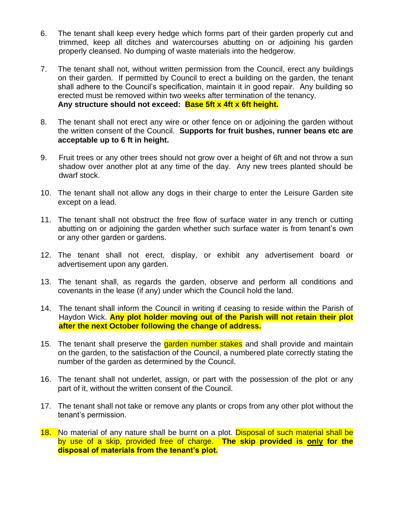- 6. The tenant shall keep every hedge which forms part of their garden properly cut and trimmed, keep all ditches and watercourses abutting on or adjoining his garden properly cleansed. No dumping of waste materials into the hedgerow.
- 7. The tenant shall not, without written permission from the Council, erect any buildings on their garden. If permitted by Council to erect a building on the garden, the tenant shall adhere to the Council's specification, maintain it in good repair. Any building so erected must be removed within two weeks after termination of the tenancy. **Any structure should not exceed: Base 5ft x 4ft x 6ft height.**
- 8. The tenant shall not erect any wire or other fence on or adjoining the garden without the written consent of the Council. **Supports for fruit bushes, runner beans etc are acceptable up to 6 ft in height.**
- 9. Fruit trees or any other trees should not grow over a height of 6ft and not throw a sun shadow over another plot at any time of the day. Any new trees planted should be dwarf stock.
- 10. The tenant shall not allow any dogs in their charge to enter the Leisure Garden site except on a lead.
- 11. The tenant shall not obstruct the free flow of surface water in any trench or cutting abutting on or adjoining the garden whether such surface water is from tenant's own or any other garden or gardens.
- 12. The tenant shall not erect, display, or exhibit any advertisement board or advertisement upon any garden.
- 13. The tenant shall, as regards the garden, observe and perform all conditions and covenants in the lease (if any) under which the Council hold the land.
- 14. The tenant shall inform the Council in writing if ceasing to reside within the Parish of Haydon Wick. **Any plot holder moving out of the Parish will not retain their plot after the next October following the change of address.**
- 15. The tenant shall preserve the **garden number stakes** and shall provide and maintain on the garden, to the satisfaction of the Council, a numbered plate correctly stating the number of the garden as determined by the Council.
- 16. The tenant shall not underlet, assign, or part with the possession of the plot or any part of it, without the written consent of the Council.
- 17. The tenant shall not take or remove any plants or crops from any other plot without the tenant's permission.
- 18. No material of any nature shall be burnt on a plot. Disposal of such material shall be by use of a skip, provided free of charge. **The skip provided is only for the disposal of materials from the tenant's plot.**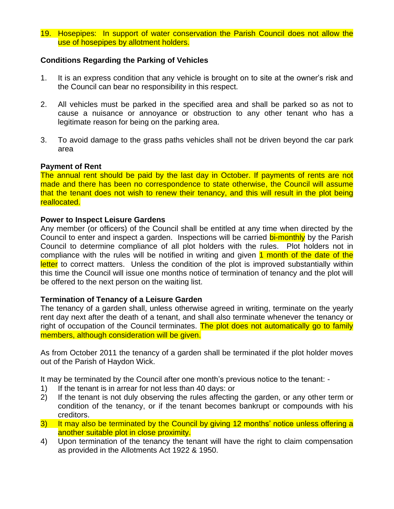19. Hosepipes: In support of water conservation the Parish Council does not allow the use of hosepipes by allotment holders.

# **Conditions Regarding the Parking of Vehicles**

- 1. It is an express condition that any vehicle is brought on to site at the owner's risk and the Council can bear no responsibility in this respect.
- 2. All vehicles must be parked in the specified area and shall be parked so as not to cause a nuisance or annoyance or obstruction to any other tenant who has a legitimate reason for being on the parking area.
- 3. To avoid damage to the grass paths vehicles shall not be driven beyond the car park area

## **Payment of Rent**

The annual rent should be paid by the last day in October. If payments of rents are not made and there has been no correspondence to state otherwise, the Council will assume that the tenant does not wish to renew their tenancy, and this will result in the plot being reallocated.

#### **Power to Inspect Leisure Gardens**

Any member (or officers) of the Council shall be entitled at any time when directed by the Council to enter and inspect a garden. Inspections will be carried bi-monthly by the Parish Council to determine compliance of all plot holders with the rules. Plot holders not in compliance with the rules will be notified in writing and given 1 month of the date of the letter to correct matters. Unless the condition of the plot is improved substantially within this time the Council will issue one months notice of termination of tenancy and the plot will be offered to the next person on the waiting list.

#### **Termination of Tenancy of a Leisure Garden**

The tenancy of a garden shall, unless otherwise agreed in writing, terminate on the yearly rent day next after the death of a tenant, and shall also terminate whenever the tenancy or right of occupation of the Council terminates. The plot does not automatically go to family members, although consideration will be given.

As from October 2011 the tenancy of a garden shall be terminated if the plot holder moves out of the Parish of Haydon Wick.

It may be terminated by the Council after one month's previous notice to the tenant: -

- 1) If the tenant is in arrear for not less than 40 days: or
- 2) If the tenant is not duly observing the rules affecting the garden, or any other term or condition of the tenancy, or if the tenant becomes bankrupt or compounds with his creditors.
- 3) It may also be terminated by the Council by giving 12 months' notice unless offering a another suitable plot in close proximity.
- 4) Upon termination of the tenancy the tenant will have the right to claim compensation as provided in the Allotments Act 1922 & 1950.